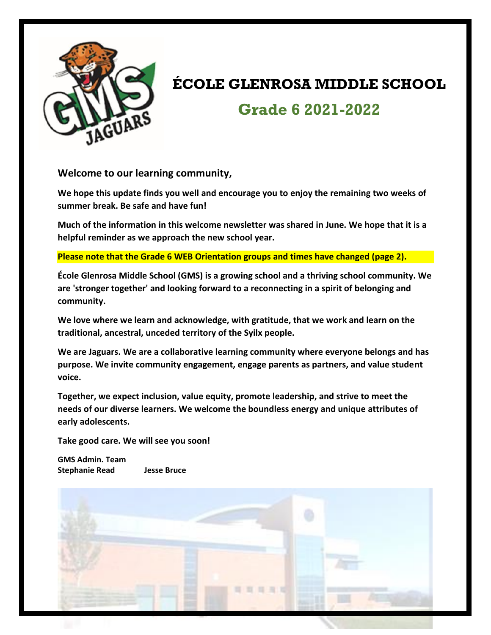

# **ÉCOLE GLENROSA MIDDLE SCHOOL Grade 6 2021-2022**

**Welcome to our learning community,**

**We hope this update finds you well and encourage you to enjoy the remaining two weeks of summer break. Be safe and have fun!**

**Much of the information in this welcome newsletter was shared in June. We hope that it is a helpful reminder as we approach the new school year.** 

**Please note that the Grade 6 WEB Orientation groups and times have changed (page 2).** 

**École Glenrosa Middle School (GMS) is a growing school and a thriving school community. We are 'stronger together' and looking forward to a reconnecting in a spirit of belonging and community.** 

**We love where we learn and acknowledge, with gratitude, that we work and learn on the traditional, ancestral, unceded territory of the Syilx people.** 

**We are Jaguars. We are a collaborative learning community where everyone belongs and has purpose. We invite community engagement, engage parents as partners, and value student voice.** 

**Together, we expect inclusion, value equity, promote leadership, and strive to meet the needs of our diverse learners. We welcome the boundless energy and unique attributes of early adolescents.**

**Take good care. We will see you soon!**

**GMS Admin. Team Stephanie Read Jesse Bruce**

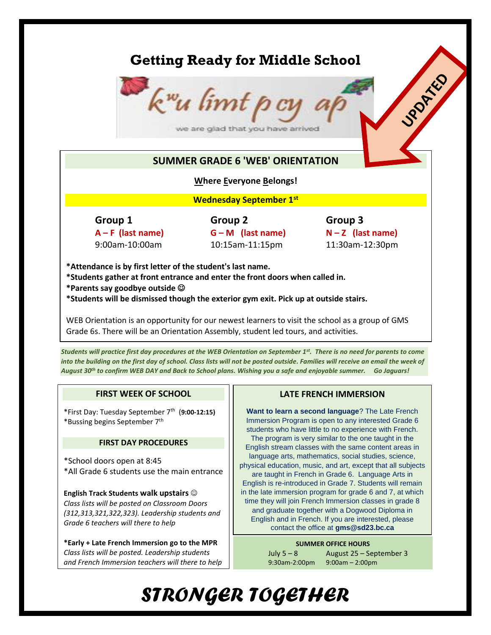# **Getting Ready for Middle School**



## **SUMMER GRADE 6 'WEB' ORIENTATION**

## **Where Everyone Belongs!**

**Wednesday September 1st**

**Group 1 Group 2 Group 3 A – F (last name) G – M (last name) N – Z (last name)** 9:00am-10:00am 10:15am-11:15pm 11:30am-12:30pm

UPORTAGO

**\*Attendance is by first letter of the student's last name. \*Students gather at front entrance and enter the front doors when called in. \*Parents say goodbye outside \*Students will be dismissed though the exterior gym exit. Pick up at outside stairs.** 

WEB Orientation is an opportunity for our newest learners to visit the school as a group of GMS Grade 6s. There will be an Orientation Assembly, student led tours, and activities.

*Students will practice first day procedures at the WEB Orientation on September 1st . There is no need for parents to come into the building on the first day of school. Class lists will not be posted outside. Families will receive an email the week of August 30th to confirm WEB DAY and Back to School plans. Wishing you a safe and enjoyable summer. Go Jaguars!*

## **FIRST WEEK OF SCHOOL**

\*First Day: Tuesday September 7th (**9:00-12:15)** \*Bussing begins September 7th

#### **FIRST DAY PROCEDURES**

\*School doors open at 8:45 \*All Grade 6 students use the main entrance

**English Track Students walk upstairs** *Class lists will be posted on Classroom Doors (312,313,321,322,323). Leadership students and Grade 6 teachers will there to help*

**\*Early + Late French Immersion go to the MPR** *Class lists will be posted. Leadership students and French Immersion teachers will there to help*

## **LATE FRENCH IMMERSION**

**Want to learn a second language**? The Late French Immersion Program is open to any interested Grade 6 students who have little to no experience with French. The program is very similar to the one taught in the English stream classes with the same content areas in language arts, mathematics, social studies, science, physical education, music, and art, except that all subjects are taught in French in Grade 6. Language Arts in English is re-introduced in Grade 7. Students will remain in the late immersion program for grade 6 and 7, at which time they will join French Immersion classes in grade 8 and graduate together with a Dogwood Diploma in English and in French. If you are interested, please contact the office at **gms@sd23.bc.ca**

#### **SUMMER OFFICE HOURS**

9:30am-2:00pm 9:00am – 2:00pm

July 5 – 8 August 25 – September 3

# *STRONGER TOGETHER*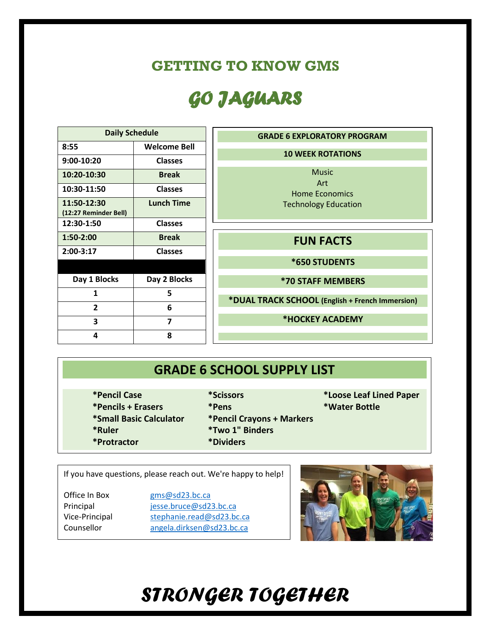# **GETTING TO KNOW GMS**

# *GO JAGUARS*

| <b>Daily Schedule</b>                |                     |
|--------------------------------------|---------------------|
| 8:55                                 | <b>Welcome Bell</b> |
| 9:00-10:20                           | <b>Classes</b>      |
| 10:20-10:30                          | <b>Break</b>        |
| 10:30-11:50                          | <b>Classes</b>      |
| 11:50-12:30<br>(12:27 Reminder Bell) | <b>Lunch Time</b>   |
| 12:30-1:50                           | <b>Classes</b>      |
| 1:50-2:00                            | <b>Break</b>        |
| 2:00-3:17                            | <b>Classes</b>      |
|                                      |                     |
| Day 1 Blocks                         | Day 2 Blocks        |
| 1                                    | 5                   |
| 2                                    | 6                   |
| 3                                    | 7                   |
| 4                                    | 8                   |



# **GRADE 6 SCHOOL SUPPLY LIST**

- **\*Pencil Case \*Scissors \*Loose Leaf Lined Paper**
	-
- **\*Pencils + Erasers \*Pens \*Water Bottle**
	-
- 
- **\*Small Basic Calculator \*Pencil Crayons + Markers**
- **\*Ruler \*Two 1" Binders**
- **\*Protractor \*Dividers**

## If you have questions, please reach out. We're happy to help!

Office In Box [gms@sd23.bc.ca](mailto:gms@sd23.bc.ca) Principal [jesse.bruce@sd23.bc.ca](mailto:jesse.bruce@sd23.bc.ca) Vice-Principal [stephanie.read@sd23.bc.ca](mailto:stephanie.read@sd23.bc.ca) Counsellor [angela.dirksen@sd23.bc.ca](mailto:angela.dirksen@sd23.bc.ca)



# *STRONGER TOGETHER*